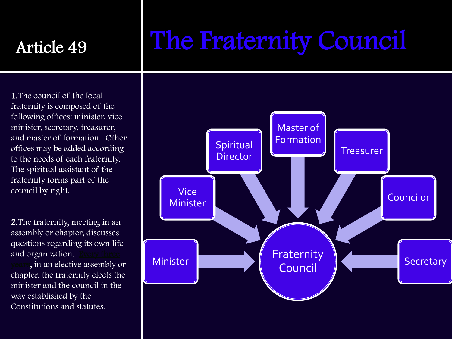#### Article 49

# The Fraternity Council

1.The council of the local fraternity is composed of the following offices: minister, vice minister, secretary, treasurer, and master of formation. Other offices may be added according to the needs of each fraternity. The spiritual assistant of the fraternity forms part of the council by right.

2.The fraternity, meeting in an assembly or chapter, discusses questions regarding its own life and organization. in an elective assembly or chapter, the fraternity elects the minister and the council in the way established by the Constitutions and statutes.

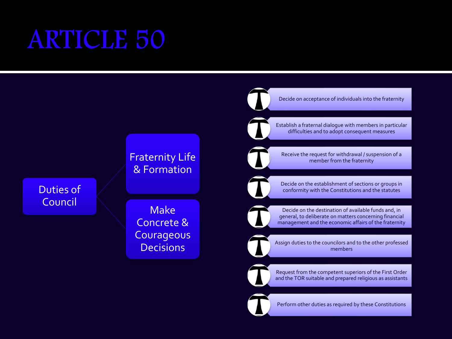#### **ARTICLE 50**

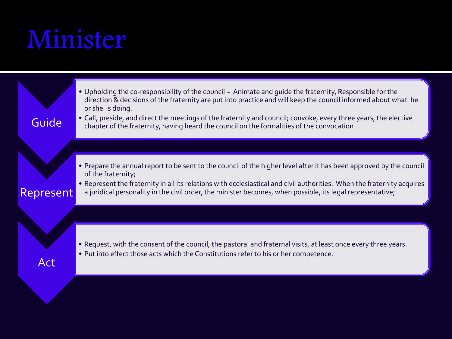# Minister

| Guide     | . Upholding the co-responsibility of the council ~ Animate and guide the fraternity, Responsible for the<br>direction & decisions of the fraternity are put into practice and will keep the council informed about what he<br>or she is doing.<br>• Call, preside, and direct the meetings of the fraternity and council; convoke, every three years, the elective<br>chapter of the fraternity, having heard the council on the formalities of the convocation |
|-----------|-----------------------------------------------------------------------------------------------------------------------------------------------------------------------------------------------------------------------------------------------------------------------------------------------------------------------------------------------------------------------------------------------------------------------------------------------------------------|
| Represent | • Prepare the annual report to be sent to the council of the higher level after it has been approved by the council<br>of the fraternity;<br>• Represent the fraternity in all its relations with ecclesiastical and civil authorities. When the fraternity acquires<br>a juridical personality in the civil order, the minister becomes, when possible, its legal representative;                                                                              |
| Act       | . Request, with the consent of the council, the pastoral and fraternal visits, at least once every three years.<br>. Put into effect those acts which the Constitutions refer to his or her competence.                                                                                                                                                                                                                                                         |
|           |                                                                                                                                                                                                                                                                                                                                                                                                                                                                 |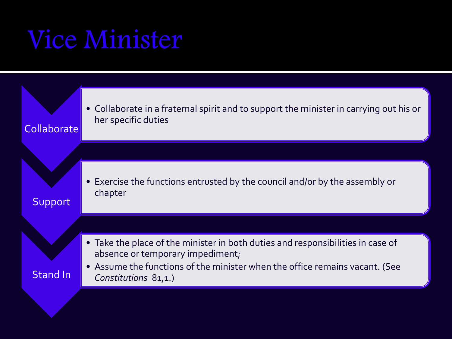### **Vice Minister**

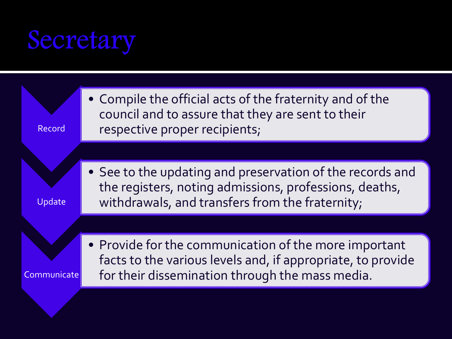#### Secretary

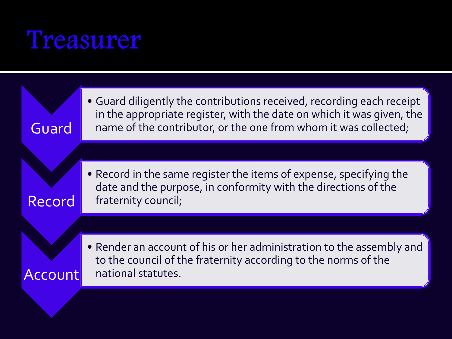#### Treasurer